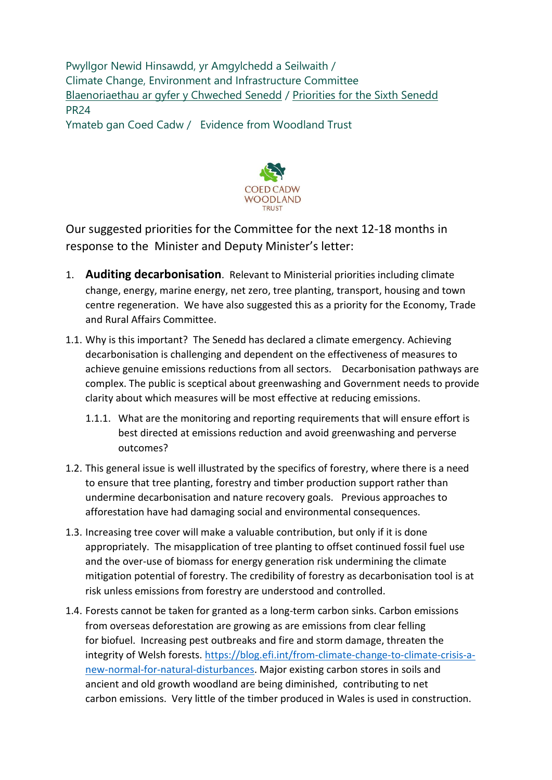Pwyllgor Newid Hinsawdd, yr Amgylchedd a Seilwaith / Climate Change, Environment and Infrastructure Committee [Blaenoriaethau ar gyfer y Chweched Senedd](https://busnes.senedd.cymru/mgConsultationDisplay.aspx?id=427&RPID=1026452002&cp=yes) / Priorities [for the Sixth Senedd](https://business.senedd.wales/mgConsultationDisplay.aspx?id=427&RPID=1026452002&cp=yes) PR24

Ymateb gan Coed Cadw / Evidence from Woodland Trust



Our suggested priorities for the Committee for the next 12-18 months in response to the Minister and Deputy Minister's letter:

- 1. **Auditing decarbonisation**. Relevant to Ministerial priorities including climate change, energy, marine energy, net zero, tree planting, transport, housing and town centre regeneration. We have also suggested this as a priority for the Economy, Trade and Rural Affairs Committee.
- 1.1. Why is this important? The Senedd has declared a climate emergency. Achieving decarbonisation is challenging and dependent on the effectiveness of measures to achieve genuine emissions reductions from all sectors. Decarbonisation pathways are complex. The public is sceptical about greenwashing and Government needs to provide clarity about which measures will be most effective at reducing emissions.
	- 1.1.1. What are the monitoring and reporting requirements that will ensure effort is best directed at emissions reduction and avoid greenwashing and perverse outcomes?
- 1.2. This general issue is well illustrated by the specifics of forestry, where there is a need to ensure that tree planting, forestry and timber production support rather than undermine decarbonisation and nature recovery goals. Previous approaches to afforestation have had damaging social and environmental consequences.
- 1.3. Increasing tree cover will make a valuable contribution, but only if it is done appropriately. The misapplication of tree planting to offset continued fossil fuel use and the over-use of biomass for energy generation risk undermining the climate mitigation potential of forestry. The credibility of forestry as decarbonisation tool is at risk unless emissions from forestry are understood and controlled.
- 1.4. Forests cannot be taken for granted as a long-term carbon sinks. Carbon emissions from overseas deforestation are growing as are emissions from clear felling for biofuel. Increasing pest outbreaks and fire and storm damage, threaten the integrity of Welsh forests. [https://blog.efi.int/from-climate-change-to-climate-crisis-a](https://blog.efi.int/from-climate-change-to-climate-crisis-a-new-normal-for-natural-disturbances)[new-normal-for-natural-disturbances.](https://blog.efi.int/from-climate-change-to-climate-crisis-a-new-normal-for-natural-disturbances) Major existing carbon stores in soils and ancient and old growth woodland are being diminished, contributing to net carbon emissions. Very little of the timber produced in Wales is used in construction.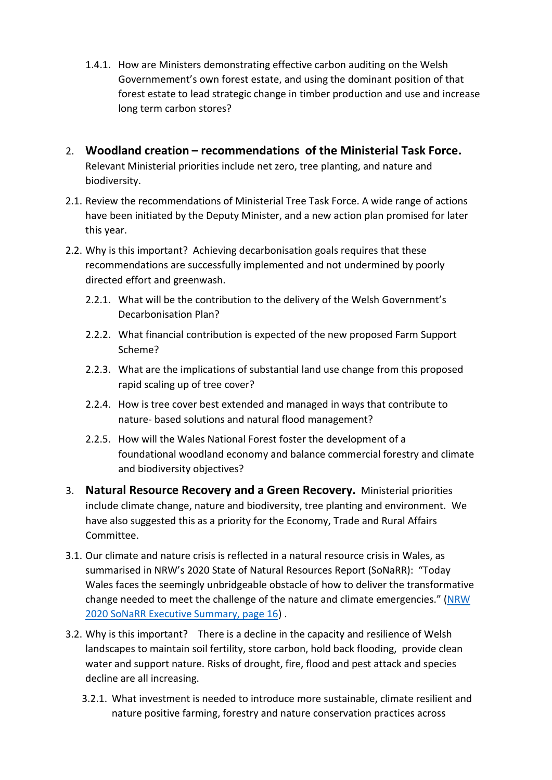- 1.4.1. How are Ministers demonstrating effective carbon auditing on the Welsh Governmement's own forest estate, and using the dominant position of that forest estate to lead strategic change in timber production and use and increase long term carbon stores?
- 2. **Woodland creation – recommendations of the Ministerial Task Force.** Relevant Ministerial priorities include net zero, tree planting, and nature and biodiversity.
- 2.1. Review the recommendations of Ministerial Tree Task Force. A wide range of actions have been initiated by the Deputy Minister, and a new action plan promised for later this year.
- 2.2. Why is this important? Achieving decarbonisation goals requires that these recommendations are successfully implemented and not undermined by poorly directed effort and greenwash.
	- 2.2.1. What will be the contribution to the delivery of the Welsh Government's Decarbonisation Plan?
	- 2.2.2. What financial contribution is expected of the new proposed Farm Support Scheme?
	- 2.2.3. What are the implications of substantial land use change from this proposed rapid scaling up of tree cover?
	- 2.2.4. How is tree cover best extended and managed in ways that contribute to nature- based solutions and natural flood management?
	- 2.2.5. How will the Wales National Forest foster the development of a foundational woodland economy and balance commercial forestry and climate and biodiversity objectives?
- 3. **Natural Resource Recovery and a Green Recovery.** Ministerial priorities include climate change, nature and biodiversity, tree planting and environment. We have also suggested this as a priority for the Economy, Trade and Rural Affairs Committee.
- 3.1. Our climate and nature crisis is reflected in a natural resource crisis in Wales, as summarised in NRW's 2020 State of Natural Resources Report (SoNaRR): "Today Wales faces the seemingly unbridgeable obstacle of how to deliver the transformative change needed to meet the challenge of the nature and climate emergencies." ([NRW](https://cdn.cyfoethnaturiol.cymru/media/693209/sonarr2020-executive-summary.pdf#:~:text=The%20publication%20of%20the%20second%20State%20of%20Natural,for%20the%20sustainable%20management%20of%20natural%20resources%20%28SMNR%29)  [2020 SoNaRR Executive Summary, page 16\)](https://cdn.cyfoethnaturiol.cymru/media/693209/sonarr2020-executive-summary.pdf#:~:text=The%20publication%20of%20the%20second%20State%20of%20Natural,for%20the%20sustainable%20management%20of%20natural%20resources%20%28SMNR%29) .
- 3.2. Why is this important? There is a decline in the capacity and resilience of Welsh landscapes to maintain soil fertility, store carbon, hold back flooding, provide clean water and support nature. Risks of drought, fire, flood and pest attack and species decline are all increasing.
	- 3.2.1. What investment is needed to introduce more sustainable, climate resilient and nature positive farming, forestry and nature conservation practices across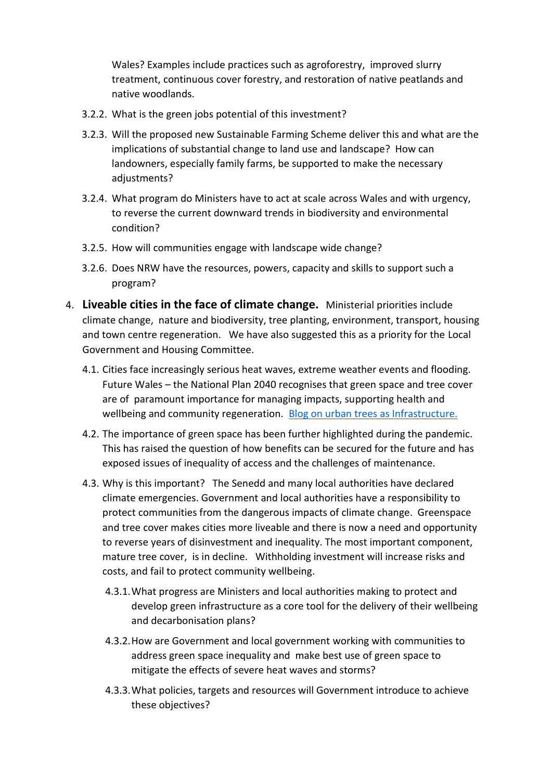Wales? Examples include practices such as agroforestry, improved slurry treatment, continuous cover forestry, and restoration of native peatlands and native woodlands.

- 3.2.2. What is the green jobs potential of this investment?
- 3.2.3. Will the proposed new Sustainable Farming Scheme deliver this and what are the implications of substantial change to land use and landscape? How can landowners, especially family farms, be supported to make the necessary adjustments?
- 3.2.4. What program do Ministers have to act at scale across Wales and with urgency, to reverse the current downward trends in biodiversity and environmental condition?
- 3.2.5. How will communities engage with landscape wide change?
- 3.2.6. Does NRW have the resources, powers, capacity and skills to support such a program?
- 4. **Liveable cities in the face of climate change.** Ministerial priorities include climate change, nature and biodiversity, tree planting, environment, transport, housing and town centre regeneration. We have also suggested this as a priority for the Local Government and Housing Committee.
	- 4.1. Cities face increasingly serious heat waves, extreme weather events and flooding. Future Wales – the National Plan 2040 recognises that green space and tree cover are of paramount importance for managing impacts, supporting health and wellbeing and community regeneration. [Blog on urban trees as Infrastructure.](https://provocations.darkmatterlabs.org/trees-as-infrastructure-1dd94e1cfedf)
	- 4.2. The importance of green space has been further highlighted during the pandemic. This has raised the question of how benefits can be secured for the future and has exposed issues of inequality of access and the challenges of maintenance.
	- 4.3. Why is this important? The Senedd and many local authorities have declared climate emergencies. Government and local authorities have a responsibility to protect communities from the dangerous impacts of climate change.  Greenspace and tree cover makes cities more liveable and there is now a need and opportunity to reverse years of disinvestment and inequality. The most important component, mature tree cover, is in decline. Withholding investment will increase risks and costs, and fail to protect community wellbeing.
		- 4.3.1.What progress are Ministers and local authorities making to protect and develop green infrastructure as a core tool for the delivery of their wellbeing and decarbonisation plans?
		- 4.3.2.How are Government and local government working with communities to address green space inequality and make best use of green space to mitigate the effects of severe heat waves and storms?
		- 4.3.3.What policies, targets and resources will Government introduce to achieve these objectives?